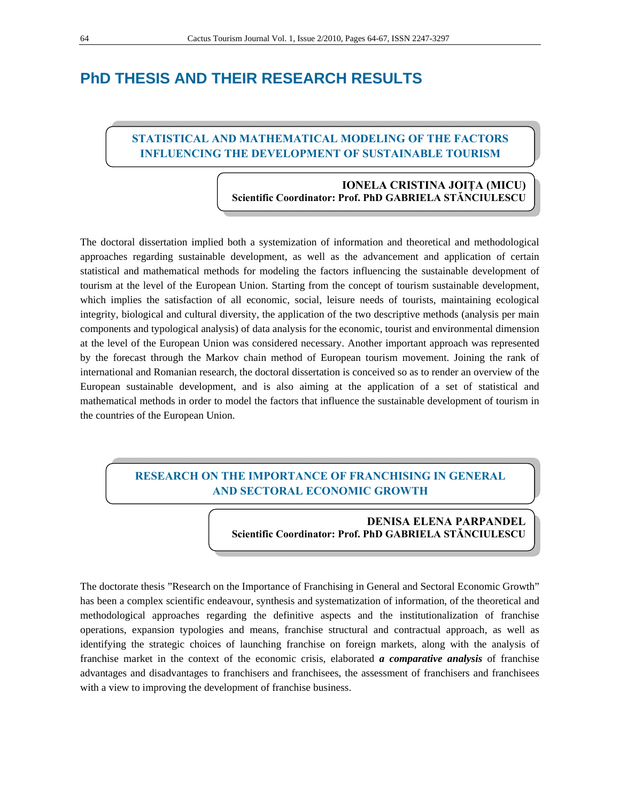# **PhD THESIS AND THEIR RESEARCH RESULTS**

# **STATISTICAL AND MATHEMATICAL MODELING OF THE FACTORS INFLUENCING THE DEVELOPMENT OF SUSTAINABLE TOURISM**

#### **IONELA CRISTINA JOIŢA (MICU) Scientific Coordinator: Prof. PhD GABRIELA STĂNCIULESCU**

The doctoral dissertation implied both a systemization of information and theoretical and methodological approaches regarding sustainable development, as well as the advancement and application of certain statistical and mathematical methods for modeling the factors influencing the sustainable development of tourism at the level of the European Union. Starting from the concept of tourism sustainable development, which implies the satisfaction of all economic, social, leisure needs of tourists, maintaining ecological integrity, biological and cultural diversity, the application of the two descriptive methods (analysis per main components and typological analysis) of data analysis for the economic, tourist and environmental dimension at the level of the European Union was considered necessary. Another important approach was represented by the forecast through the Markov chain method of European tourism movement. Joining the rank of international and Romanian research, the doctoral dissertation is conceived so as to render an overview of the European sustainable development, and is also aiming at the application of a set of statistical and mathematical methods in order to model the factors that influence the sustainable development of tourism in the countries of the European Union.

### **RESEARCH ON THE IMPORTANCE OF FRANCHISING IN GENERAL AND SECTORAL ECONOMIC GROWTH**

#### **DENISA ELENA PARPANDEL Scientific Coordinator: Prof. PhD GABRIELA STĂNCIULESCU**

The doctorate thesis "Research on the Importance of Franchising in General and Sectoral Economic Growth" has been a complex scientific endeavour, synthesis and systematization of information, of the theoretical and methodological approaches regarding the definitive aspects and the institutionalization of franchise operations, expansion typologies and means, franchise structural and contractual approach, as well as identifying the strategic choices of launching franchise on foreign markets, along with the analysis of franchise market in the context of the economic crisis, elaborated *a comparative analysis* of franchise advantages and disadvantages to franchisers and franchisees, the assessment of franchisers and franchisees with a view to improving the development of franchise business.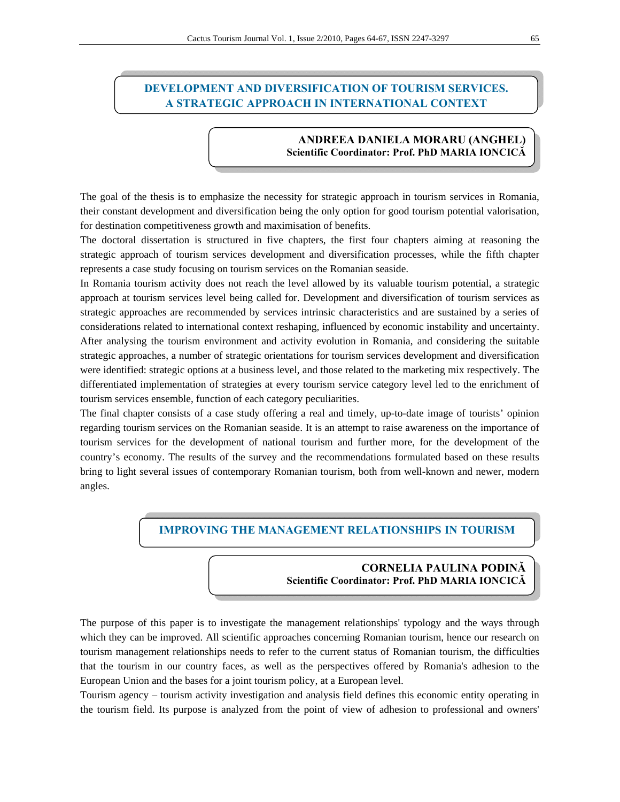# **DEVELOPMENT AND DIVERSIFICATION OF TOURISM SERVICES. A STRATEGIC APPROACH IN INTERNATIONAL CONTEXT**

#### **ANDREEA DANIELA MORARU (ANGHEL) Scientific Coordinator: Prof. PhD MARIA IONCICĂ**

The goal of the thesis is to emphasize the necessity for strategic approach in tourism services in Romania, their constant development and diversification being the only option for good tourism potential valorisation, for destination competitiveness growth and maximisation of benefits.

The doctoral dissertation is structured in five chapters, the first four chapters aiming at reasoning the strategic approach of tourism services development and diversification processes, while the fifth chapter represents a case study focusing on tourism services on the Romanian seaside.

In Romania tourism activity does not reach the level allowed by its valuable tourism potential, a strategic approach at tourism services level being called for. Development and diversification of tourism services as strategic approaches are recommended by services intrinsic characteristics and are sustained by a series of considerations related to international context reshaping, influenced by economic instability and uncertainty. After analysing the tourism environment and activity evolution in Romania, and considering the suitable strategic approaches, a number of strategic orientations for tourism services development and diversification were identified: strategic options at a business level, and those related to the marketing mix respectively. The differentiated implementation of strategies at every tourism service category level led to the enrichment of tourism services ensemble, function of each category peculiarities.

The final chapter consists of a case study offering a real and timely, up-to-date image of tourists' opinion regarding tourism services on the Romanian seaside. It is an attempt to raise awareness on the importance of tourism services for the development of national tourism and further more, for the development of the country's economy. The results of the survey and the recommendations formulated based on these results bring to light several issues of contemporary Romanian tourism, both from well-known and newer, modern angles.

#### **IMPROVING THE MANAGEMENT RELATIONSHIPS IN TOURISM**

#### **CORNELIA PAULINA PODINĂ Scientific Coordinator: Prof. PhD MARIA IONCICĂ**

The purpose of this paper is to investigate the management relationships' typology and the ways through which they can be improved. All scientific approaches concerning Romanian tourism, hence our research on tourism management relationships needs to refer to the current status of Romanian tourism, the difficulties that the tourism in our country faces, as well as the perspectives offered by Romania's adhesion to the European Union and the bases for a joint tourism policy, at a European level.

Tourism agency – tourism activity investigation and analysis field defines this economic entity operating in the tourism field. Its purpose is analyzed from the point of view of adhesion to professional and owners'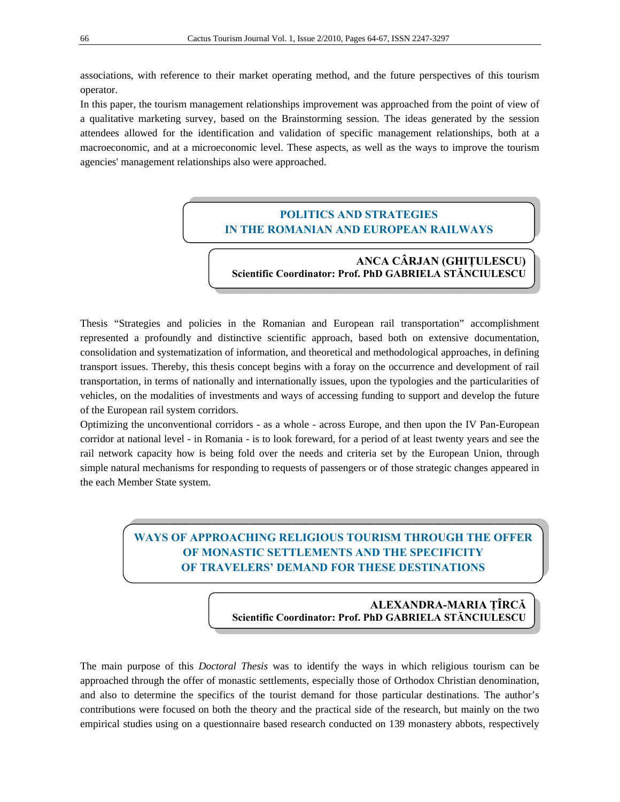associations, with reference to their market operating method, and the future perspectives of this tourism operator.

In this paper, the tourism management relationships improvement was approached from the point of view of a qualitative marketing survey, based on the Brainstorming session. The ideas generated by the session attendees allowed for the identification and validation of specific management relationships, both at a macroeconomic, and at a microeconomic level. These aspects, as well as the ways to improve the tourism agencies' management relationships also were approached.

### **POLITICS AND STRATEGIES IN THE ROMANIAN AND EUROPEAN RAILWAYS**

#### **ANCA CÂRJAN (GHIŢULESCU) Scientific Coordinator: Prof. PhD GABRIELA STĂNCIULESCU**

Thesis "Strategies and policies in the Romanian and European rail transportation" accomplishment represented a profoundly and distinctive scientific approach, based both on extensive documentation, consolidation and systematization of information, and theoretical and methodological approaches, in defining transport issues. Thereby, this thesis concept begins with a foray on the occurrence and development of rail transportation, in terms of nationally and internationally issues, upon the typologies and the particularities of vehicles, on the modalities of investments and ways of accessing funding to support and develop the future of the European rail system corridors.

Optimizing the unconventional corridors - as a whole - across Europe, and then upon the IV Pan-European corridor at national level - in Romania - is to look foreward, for a period of at least twenty years and see the rail network capacity how is being fold over the needs and criteria set by the European Union, through simple natural mechanisms for responding to requests of passengers or of those strategic changes appeared in the each Member State system.

# **WAYS OF APPROACHING RELIGIOUS TOURISM THROUGH THE OFFER OF MONASTIC SETTLEMENTS AND THE SPECIFICITY OF TRAVELERS' DEMAND FOR THESE DESTINATIONS**

**ALEXANDRA-MARIA ŢÎRCĂ Scientific Coordinator: Prof. PhD GABRIELA STĂNCIULESCU** 

The main purpose of this *Doctoral Thesis* was to identify the ways in which religious tourism can be approached through the offer of monastic settlements, especially those of Orthodox Christian denomination, and also to determine the specifics of the tourist demand for those particular destinations. The author's contributions were focused on both the theory and the practical side of the research, but mainly on the two empirical studies using on a questionnaire based research conducted on 139 monastery abbots, respectively